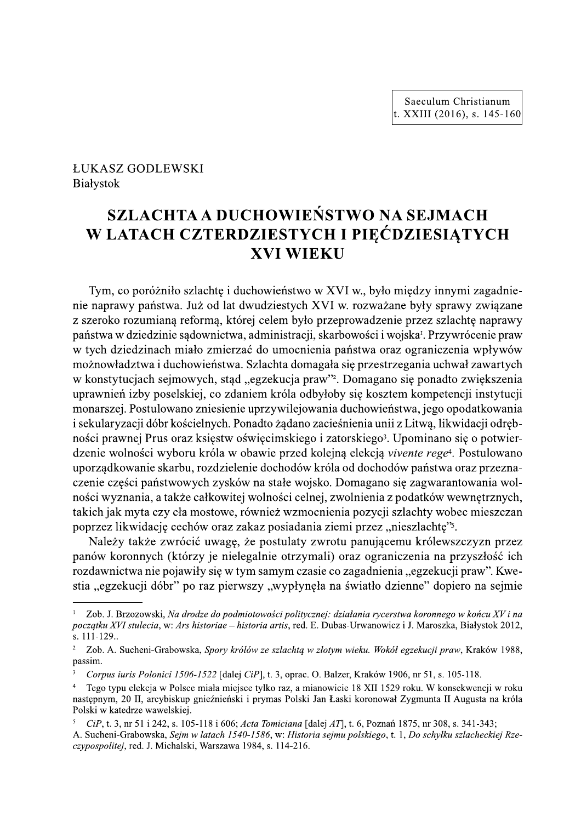Saeculum Christianum t. XXIII (2016), s. 145-160

# **ŁUKASZ GODLEWSKI Białystok**

# SZLACHTA A DUCHOWIEŃSTWO NA SEJMACH W LATACH CZTERDZIESTYCH I PIĘĆDZIESIĄTYCH **XVI WIEKU**

Tym, co poróżniło szlachtę i duchowieństwo w XVI w., było między innymi zagadnienie naprawy państwa. Już od lat dwudziestych XVI w. rozważane były sprawy związane z szeroko rozumianą reformą, której celem było przeprowadzenie przez szlachtę naprawy państwa w dziedzinie sądownictwa, administracji, skarbowości i wojska<sup>r</sup>. Przywrócenie praw w tych dziedzinach miało zmierzać do umocnienia państwa oraz ograniczenia wpływów możnowładztwa i duchowieństwa. Szlachta domagała się przestrzegania uchwał zawartych w konstytucjąch sejmowych, stąd "egzekucją praw"<sup>2</sup>. Domagano się ponadto zwiększenia uprawnień izby poselskiej, co zdaniem króla odbyłoby się kosztem kompetencji instytucji monarszej. Postulowano zniesienie uprzywilejowania duchowieństwa, jego opodatkowania i sekularyzacji dóbr kościelnych. Ponadto żądano zacieśnienia unii z Litwą, likwidacji odrębności prawnej Prus oraz księstw oświęcimskiego i zatorskiego<sup>3</sup>. Upominano się o potwierdzenie wolności wyboru króla w obawie przed kolejną elekcją *vivente rege*<sup>4</sup>. Postulowano uporządkowanie skarbu, rozdzielenie dochodów króla od dochodów państwa oraz przeznaczenie części państwowych zysków na stałe wojsko. Domagano się zagwarantowania wolności wyznania, a także całkowitej wolności celnej, zwolnienia z podatków wewnętrznych, takich jak myta czy cła mostowe, również wzmocnienia pozycji szlachty wobec mieszczan poprzez likwidację cechów oraz zakaz posiadania ziemi przez "nieszlachtę"<sup>5</sup>.

Należy także zwrócić uwagę, że postulaty zwrotu panującemu królewszczyzn przez panów koronnych (którzy je nielegalnie otrzymali) oraz ograniczenia na przyszłość ich rozdawnictwa nie pojawiły się w tym samym czasie co zagadnienia "egzekucji praw". Kwestia "egzekucji dóbr" po raz pierwszy "wypłynęła na światło dzienne" dopiero na sejmie

Zob. J. Brzozowski, Na drodze do podmiotowości politycznej: działania rycerstwa koronnego w końcu XV i na początku XVI stulecia, w: Ars historiae – historia artis, red. E. Dubas-Urwanowicz i J. Maroszka, Białystok 2012,  $s. 111 - 129...$ 

 $\overline{c}$ Zob. A. Sucheni-Grabowska, Spory królów ze szlachta w złotym wieku. Wokół egzekucji praw, Kraków 1988, passim.

Corpus iuris Polonici 1506-1522 [dalej CiP], t. 3, oprac. O. Balzer, Kraków 1906, nr 51, s. 105-118.

 $\overline{4}$ Tego typu elekcja w Polsce miała miejsce tylko raz, a mianowicie 18 XII 1529 roku. W konsekwencji w roku następnym, 20 II, arcybiskup gnieźnieński i prymas Polski Jan Łaski koronował Zygmunta II Augusta na króla Polski w katedrze wawelskiej.

CiP, t. 3, nr 51 i 242, s. 105-118 i 606; Acta Tomiciana [dalej AT], t. 6, Poznań 1875, nr 308, s. 341-343;

A. Sucheni-Grabowska, Sejm w latach 1540-1586, w: Historia sejmu polskiego, t. 1, Do schylku szlacheckiej Rzeczypospolitej, red. J. Michalski, Warszawa 1984, s. 114-216.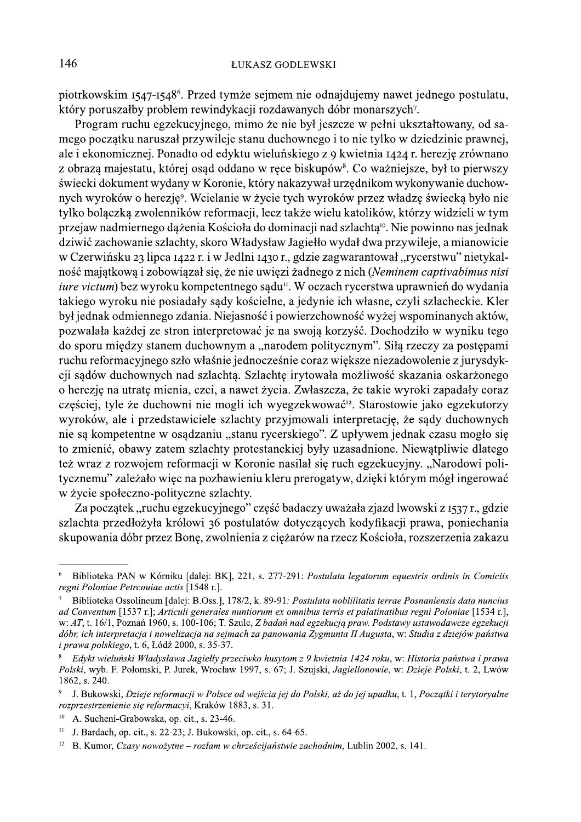piotrkowskim 1547-1548<sup>6</sup>. Przed tymże sejmem nie odnajdujemy nawet jednego postulatu, który poruszałby problem rewindykacji rozdawanych dóbr monarszych7.

Program ruchu egzekucyjnego, mimo że nie był jeszcze w pełni ukształtowany, od samego początku naruszał przywileje stanu duchownego i to nie tylko w dziedzinie prawnej, ale i ekonomicznej. Ponadto od edyktu wieluńskiego z 9 kwietnia 1424 r. herezję zrównano z obrazą majestatu, której osąd oddano w ręce biskupów<sup>8</sup>. Co ważniejsze, był to pierwszy świecki dokument wydany w Koronie, który nakazywał urzędnikom wykonywanie duchownych wyroków o herezję<sup>9</sup>. Wcielanie w życie tych wyroków przez władzę świecką było nie tylko bolaczka zwolenników reformacji, lecz także wielu katolików, którzy widzieli w tym przejaw nadmiernego dążenia Kościoła do dominacji nad szlachtą<sup>10</sup>. Nie powinno nas jednak dziwić zachowanie szlachty, skoro Władysław Jagiełło wydał dwa przywileje, a mianowicie w Czerwińsku 23 lipca 1422 r. i w Jedlni 1430 r., gdzie zagwarantował "rycerstwu" nietykalność majątkową i zobowiązał się, że nie uwięzi żadnego z nich (Neminem captivabimus nisi *iure victum*) bez wyroku kompetentnego sądu<sup>11</sup>. W oczach rycerstwa uprawnień do wydania takiego wyroku nie posiadały sądy kościelne, a jedynie ich własne, czyli szlacheckie. Kler był jednak odmiennego zdania. Niejasność i powierzchowność wyżej wspominanych aktów, pozwalała każdej ze stron interpretować je na swoją korzyść. Dochodziło w wyniku tego do sporu między stanem duchownym a "narodem politycznym". Siłą rzeczy za postępami ruchu reformacyjnego szło właśnie jednocześnie coraz większe niezadowolenie z jurysdykcji sądów duchownych nad szlachtą. Szlachtę irytowała możliwość skazania oskarżonego o herezje na utrate mienia, czci, a nawet życia. Zwłaszcza, że takie wyroki zapadały coraz częściej, tyle że duchowni nie mogli ich wyegzekwować<sup>12</sup>. Starostowie jako egzekutorzy wyroków, ale i przedstawiciele szlachty przyjmowali interpretację, że sądy duchownych nie są kompetentne w osądzaniu "stanu rycerskiego". Z upływem jednak czasu mogło się to zmienić, obawy zatem szlachty protestanckiej były uzasadnione. Niewątpliwie dlatego też wraz z rozwojem reformacji w Koronie nasilał się ruch egzekucyjny. "Narodowi politycznemu" zależało więc na pozbawieniu kleru prerogatyw, dzięki którym mógł ingerować w życie społeczno-polityczne szlachty.

Za początek "ruchu egzekucyjnego" część badaczy uważała zjazd lwowski z 1537 r., gdzie szlachta przedłożyła królowi 36 postulatów dotyczących kodyfikacji prawa, poniechania skupowania dóbr przez Bonę, zwolnienia z ciężarów na rzecz Kościoła, rozszerzenia zakazu

 $\sqrt{6}$ Biblioteka PAN w Kórniku [dalej: BK], 221, s. 277-291: Postulata legatorum equestris ordinis in Comiciis regni Poloniae Petrcouiae actis [1548 r.].

Biblioteka Ossolineum [dalej: B.Oss.], 178/2, k. 89-91: Postulata noblilitatis terrae Posnaniensis data nuncius ad Conventum [1537 r.]; Articuli generales nuntiorum ex omnibus terris et palatinatibus regni Poloniae [1534 r.], w: AT, t. 16/1, Poznań 1960, s. 100-106; T. Szulc, Z badań nad egzekucją praw. Podstawy ustawodawcze egzekucji dóbr, ich interpretacja i nowelizacja na sejmach za panowania Zygmunta II Augusta, w: Studia z dziejów państwa *i prawa polskiego*, t. 6, Łódź 2000, s. 35-37.

Edykt wieluński Władysława Jagiełły przeciwko husytom z 9 kwietnia 1424 roku, w: Historia państwa i prawa Polski, wyb. F. Połomski, P. Jurek, Wrocław 1997, s. 67; J. Szujski, Jagiellonowie, w: Dzieje Polski, t. 2, Lwów 1862, s. 240.

J. Bukowski, Dzieje reformacji w Polsce od wejścia jej do Polski, aż do jej upadku, t. 1, Początki i terytoryalne rozprzestrzenienie się reformacyi, Kraków 1883, s. 31.

<sup>&</sup>lt;sup>10</sup> A. Sucheni-Grabowska, op. cit., s. 23-46.

<sup>&</sup>lt;sup>11</sup> J. Bardach, op. cit., s. 22-23; J. Bukowski, op. cit., s. 64-65.

<sup>&</sup>lt;sup>12</sup> B. Kumor, *Czasy nowożytne – rozłam w chrześcijaństwie zachodnim*, Lublin 2002, s. 141.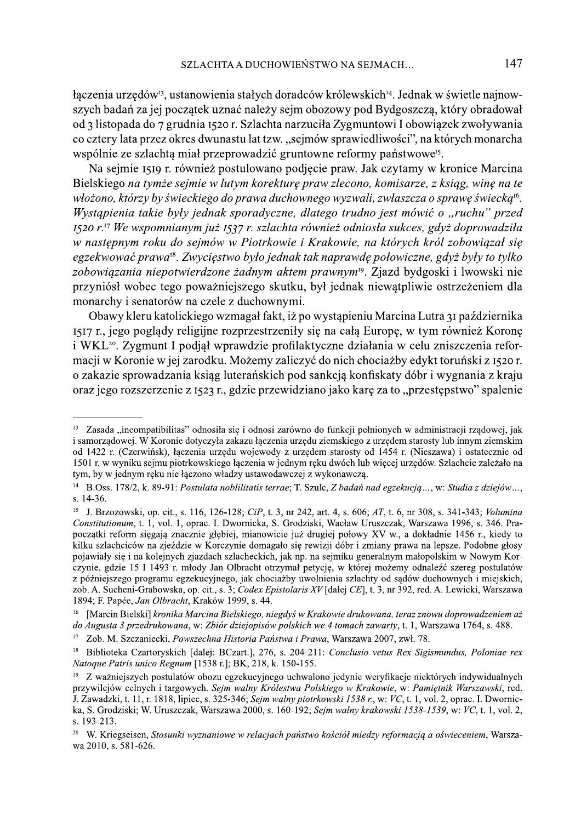łączenia urzędów<sup>13</sup>, ustanowienia stałych doradców królewskich<sup>14</sup>. Jednak w świetle najnowszych badań za jej początek uznać należy sejm obozowy pod Bydgoszczą, który obradował od 3 listopada do 7 grudnia 1520 r. Szlachta narzuciła Zygmuntowi I obowiązek zwoływania co cztery lata przez okres dwunastu lat tzw. "sejmów sprawiedliwości", na których monarcha wspólnie ze szlachtą miał przeprowadzić gruntowne reformy państwowe<sup>15</sup>.

Na sejmie 1519 r. również postulowano podjęcie praw. Jak czytamy w kronice Marcina Bielskiego na tymże sejmie w lutym korekturę praw zlecono, komisarze, z ksiąg, winę na te włożono, którzy by świeckiego do prawa duchownego wyzwali, zwłaszcza o sprawę świecką<sup>16</sup>. Wystapienia takie były jednak sporadyczne, dlatego trudno jest mówić o "ruchu" przed 1520 r.<sup>17</sup> We wspomnianym już 1537 r. szlachta również odniosła sukces, gdyż doprowadziła w następnym roku do sejmów w Piotrkowie i Krakowie, na których król zobowiązał się egzekwować prawa<sup>18</sup>. Zwycięstwo było jednak tak naprawdę połowiczne, gdyż były to tylko zobowiązania niepotwierdzone żadnym aktem prawnym<sup>19</sup>. Zjazd bydgoski i lwowski nie przyniósł wobec tego poważniejszego skutku, był jednak niewatpliwie ostrzeżeniem dla monarchy i senatorów na czele z duchownymi.

Obawy kleru katolickiego wzmagał fakt, iż po wystąpieniu Marcina Lutra 31 października 1517 r., jego poglądy religijne rozprzestrzeniły się na całą Europę, w tym również Koronę i WKL<sup>20</sup>. Zygmunt I podjął wprawdzie profilaktyczne działania w celu zniszczenia reformacji w Koronie w jej zarodku. Możemy zaliczyć do nich chociażby edykt toruński z 1520 r. o zakazie sprowadzania ksiąg luterańskich pod sankcją konfiskaty dóbr i wygnania z kraju oraz jego rozszerzenie z 1523 r., gdzie przewidziano jako karę za to "przestępstwo" spalenie

<sup>&</sup>lt;sup>13</sup> Zasada "incompatibilitas" odnosiła się i odnosi zarówno do funkcji pełnionych w administracji rządowej, jak i samorządowej. W Koronie dotyczyła zakazu łączenia urzędu ziemskiego z urzędem starosty lub innym ziemskim od 1422 r. (Czerwińsk), łączenia urzędu wojewody z urzędem starosty od 1454 r. (Nieszawa) i ostatecznie od 1501 r. w wyniku sejmu piotrkowskiego łączenia w jednym ręku dwóch lub więcej urzędów. Szlachcie zależało na tym, by w jednym ręku nie łączono władzy ustawodawczej z wykonawczą.

<sup>&</sup>lt;sup>14</sup> B.Oss. 178/2, k. 89-91: Postulata noblilitatis terrae; T. Szulc, Z badań nad egzekucją..., w: Studia z dziejów..., s. 14-36.

<sup>15</sup> J. Brzozowski, op. cit., s. 116, 126-128; CiP, t. 3, nr 242, art. 4, s. 606; AT, t. 6, nr 308, s. 341-343; Volumina Constitutionum, t. 1, vol. 1, oprac. I. Dwornicka, S. Grodziski, Wacław Uruszczak, Warszawa 1996, s. 346. Prapoczątki reform sięgają znacznie głębiej, mianowicie już drugiej połowy XV w., a dokładnie 1456 r., kiedy to kilku szlachciców na zjeździe w Korczynie domagało się rewizji dóbr i zmiany prawa na lepsze. Podobne głosy pojawiały się i na kolejnych zjazdach szlacheckich, jak np. na sejmiku generalnym małopolskim w Nowym Korczynie, gdzie 15 I 1493 r. młody Jan Olbracht otrzymał petycję, w której możemy odnaleźć szereg postulatów z późniejszego programu egzekucyjnego, jak chociażby uwolnienia szlachty od sądów duchownych i miejskich, zob. A. Sucheni-Grabowska, op. cit., s. 3; Codex Epistolaris XV [dalej CE], t. 3, nr 392, red. A. Lewicki, Warszawa 1894; F. Papée, Jan Olbracht, Kraków 1999, s. 44.

<sup>[</sup>Marcin Bielski] kronika Marcina Bielskiego, niegdyś w Krakowie drukowana, teraz znowu doprowadzeniem aż do Augusta 3 przedrukowana, w: Zbiór dziejopisów polskich we 4 tomach zawarty, t. 1, Warszawa 1764, s. 488.

<sup>17</sup> Zob. M. Szczaniecki. Powszechna Historia Państwa i Prawa. Warszawa 2007, zwł. 78.

<sup>18</sup> Biblioteka Czartoryskich [dalei: BCzart.], 276, s. 204-211; Conclusio vetus Rex Sigismundus, Poloniae rex Natoque Patris unico Regnum [1538 r.]; BK, 218, k. 150-155.

Z ważniejszych postulatów obozu egzekucyjnego uchwalono jedynie weryfikacje niektórych indywidualnych przywilejów celnych i targowych. Sejm walny Królestwa Polskiego w Krakowie, w: Pamiętnik Warszawski, red. J. Zawadzki, t. 11, r. 1818, lipiec, s. 325-346; Sejm walny piotrkowski 1538 r., w: VC, t. 1, vol. 2, oprac. I. Dwornicka, S. Grodziski; W. Uruszczak, Warszawa 2000, s. 160-192; Sejm walny krakowski 1538-1539, w: VC, t. 1, vol. 2, s. 193-213.

<sup>20</sup> W. Kriegseisen, Stosunki wyznaniowe w relacjach państwo kościół miedzy reformacja a oświeceniem, Warszawa 2010, s. 581-626.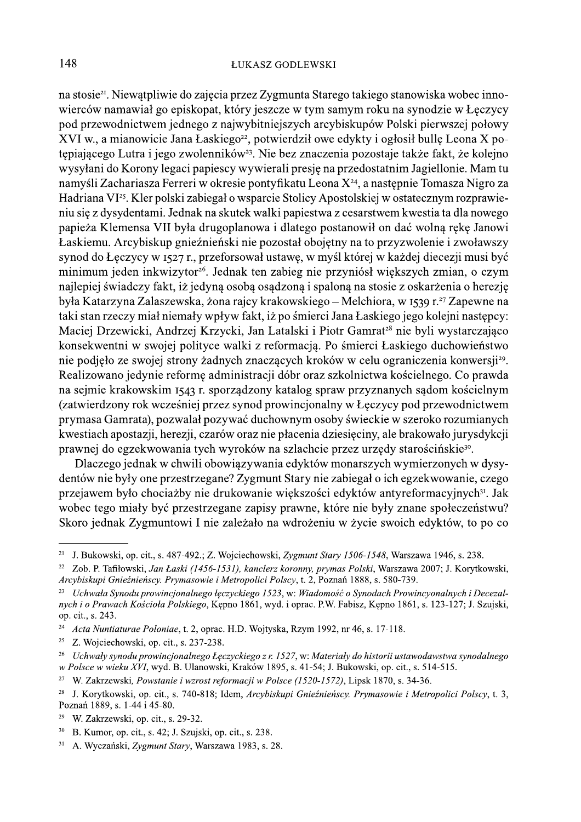na stosie<sup>21</sup>. Niewątpliwie do zajęcia przez Zygmunta Starego takiego stanowiska wobec innowierców namawiał go episkopat, który jeszcze w tym samym roku na synodzie w Łęczycy pod przewodnictwem jednego z najwybitniejszych arcybiskupów Polski pierwszej połowy XVI w., a mianowicie Jana Łaskiego<sup>22</sup>, potwierdził owe edykty i ogłosił bullę Leona X potepiającego Lutra i jego zwolenników<sup>23</sup>. Nie bez znaczenia pozostaje także fakt, że kolejno wysyłani do Korony legaci papiescy wywierali presję na przedostatnim Jagiellonie. Mam tu namyśli Zachariasza Ferreri w okresie pontyfikatu Leona X<sup>24</sup>, a następnie Tomasza Nigro za Hadriana VI<sup>25</sup>. Kler polski zabiegał o wsparcie Stolicy Apostolskiej w ostatecznym rozprawieniu się z dysydentami. Jednak na skutek walki papiestwa z cesarstwem kwestia ta dla nowego papieża Klemensa VII była drugoplanowa i dlatego postanowił on dać wolną rekę Janowi Łaskiemu. Arcybiskup gnieźnieński nie pozostał obojętny na to przyzwolenie i zwoławszy synod do Łęczycy w 1527 r., przeforsował ustawę, w myśl której w każdej diecezji musi być minimum jeden inkwizytor<sup>26</sup>. Jednak ten zabieg nie przyniósł większych zmian, o czym najlepiej świadczy fakt, iż jedyną osobą osądzoną i spaloną na stosie z oskarżenia o herezje była Katarzyna Zalaszewska, żona rajcy krakowskiego – Melchiora, w 1539 r.<sup>27</sup> Zapewne na taki stan rzeczy miał niemały wpływ fakt, iż po śmierci Jana Łaskiego jego kolejni następcy: Maciej Drzewicki, Andrzej Krzycki, Jan Latalski i Piotr Gamrat<sup>28</sup> nie byli wystarczająco konsekwentni w swojej polityce walki z reformacją. Po śmierci Łaskiego duchowieństwo nie podjęło ze swojej strony żadnych znaczących kroków w celu ograniczenia konwersji<sup>29</sup>. Realizowano jedynie reformę administracji dóbr oraz szkolnictwa kościelnego. Co prawda na sejmie krakowskim 1543 r. sporządzony katalog spraw przyznanych sądom kościelnym (zatwierdzony rok wcześniej przez synod prowincjonalny w Łęczycy pod przewodnictwem prymasa Gamrata), pozwalał pozywać duchownym osoby świeckie w szeroko rozumianych kwestiach apostazji, herezji, czarów oraz nie płacenia dziesieciny, ale brakowało jurysdykcji prawnej do egzekwowania tych wyroków na szlachcie przez urzędy starościńskie<sup>30</sup>.

Dlaczego jednak w chwili obowiązywania edyktów monarszych wymierzonych w dysydentów nie były one przestrzegane? Zygmunt Stary nie zabiegał o ich egzekwowanie, czego przejawem było chociażby nie drukowanie większości edyktów antyreformacyjnych<sup>31</sup>. Jak wobec tego miały być przestrzegane zapisy prawne, które nie były znane społeczeństwu? Skoro jednak Zygmuntowi I nie zależało na wdrożeniu w życie swoich edyktów, to po co

<sup>&</sup>lt;sup>21</sup> J. Bukowski, op. cit., s. 487-492.; Z. Wojciechowski, Zygmunt Stary 1506-1548, Warszawa 1946, s. 238.

<sup>&</sup>lt;sup>22</sup> Zob. P. Tafiłowski, Jan Łaski (1456-1531), kanclerz koronny, prymas Polski, Warszawa 2007; J. Korytkowski, Arcybiskupi Gnieźnieńscy. Prymasowie i Metropolici Polscy, t. 2, Poznań 1888, s. 580-739.

<sup>&</sup>lt;sup>23</sup> Uchwała Synodu prowincjonalnego łęczyckiego 1523, w: Wiadomość o Synodach Prowincyonalnych i Decezalnych i o Prawach Kościoła Polskiego, Kepno 1861, wyd. i oprac. P.W. Fabisz, Kepno 1861, s. 123-127; J. Szujski, op. cit., s. 243.

 $24\,$ Acta Nuntiaturae Poloniae, t. 2, oprac. H.D. Wojtyska, Rzym 1992, nr 46, s. 17-118.

 $25\,$ Z. Wojciechowski, op. cit., s. 237-238.

<sup>&</sup>lt;sup>26</sup> Uchwały synodu prowincjonalnego Łęczyckiego z r. 1527, w: Materiały do historii ustawodawstwa synodalnego w Polsce w wieku XVI, wyd. B. Ulanowski, Kraków 1895, s. 41-54; J. Bukowski, op. cit., s. 514-515.

<sup>27</sup> W. Zakrzewski, Powstanie i wzrost reformacji w Polsce (1520-1572), Lipsk 1870, s. 34-36.

<sup>&</sup>lt;sup>28</sup> J. Korytkowski, op. cit., s. 740-818; Idem, Arcybiskupi Gnieźnieńscy. Prymasowie i Metropolici Polscy, t. 3, Poznań 1889, s. 1-44 i 45-80.

 $29\,$ W. Zakrzewski, op. cit., s. 29-32.

<sup>30</sup> B. Kumor, op. cit., s. 42; J. Szujski, op. cit., s. 238.

 $31$ A. Wyczański, Zygmunt Stary, Warszawa 1983, s. 28.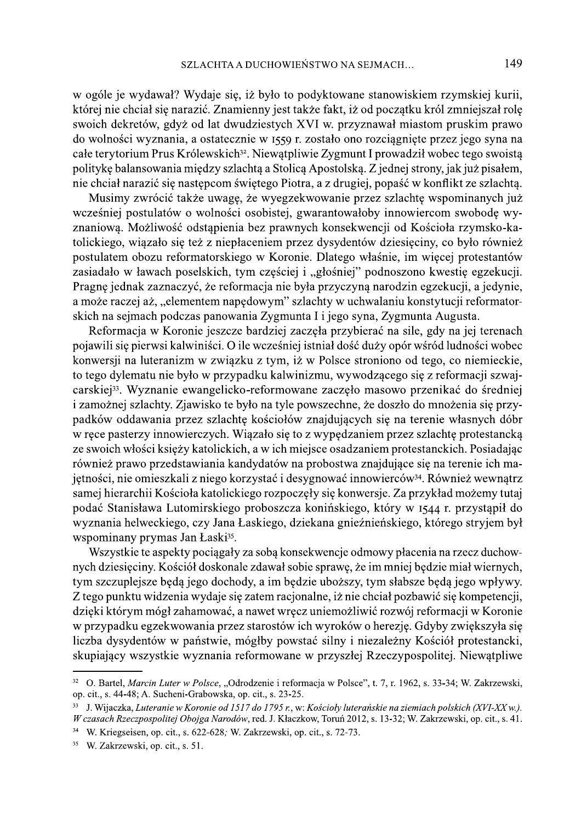w ogóle je wydawał? Wydaje się, iż było to podyktowane stanowiskiem rzymskiej kurii, której nie chciał się narazić. Znamienny jest także fakt, iż od początku król zmniejszał rolę swoich dekretów, gdyż od lat dwudziestych XVI w. przyznawał miastom pruskim prawo do wolności wyznania, a ostatecznie w 1559 r. zostało ono rozciągnięte przez jego syna na całe terytorium Prus Królewskich<sup>32</sup>. Niewątpliwie Zygmunt I prowadził wobec tego swoistą politykę balansowania między szlachtą a Stolicą Apostolską. Z jednej strony, jak już pisałem, nie chciał narazić się następcom świętego Piotra, a z drugiej, popaść w konflikt ze szlachtą.

Musimy zwrócić także uwagę, że wyegzekwowanie przez szlachtę wspominanych już wcześniej postulatów o wolności osobistej, gwarantowałoby innowiercom swobodę wyznaniową. Możliwość odstąpienia bez prawnych konsekwencji od Kościoła rzymsko-katolickiego, wiązało się też z niepłaceniem przez dysydentów dziesięciny, co było również postulatem obozu reformatorskiego w Koronie. Dlatego właśnie, im więcej protestantów zasiadało w ławach poselskich, tym częściej i "głośniej" podnoszono kwestię egzekucji. Pragne jednak zaznaczyć, że reformacja nie była przyczyną narodzin egzekucji, a jedynie, a może raczej aż, "elementem napędowym" szlachty w uchwalaniu konstytucji reformatorskich na sejmach podczas panowania Zygmunta I i jego syna, Zygmunta Augusta.

Reformacja w Koronie jeszcze bardziej zaczęła przybierać na sile, gdy na jej terenach pojawili się pierwsi kalwiniści. O ile wcześniej istniał dość duży opór wśród ludności wobec konwersji na luteranizm w związku z tym, iż w Polsce stroniono od tego, co niemieckie, to tego dylematu nie było w przypadku kalwinizmu, wywodzącego się z reformacji szwajcarskiej<sup>33</sup>. Wyznanie ewangelicko-reformowane zaczęło masowo przenikać do średniej i zamożnej szlachty. Zjawisko te było na tyle powszechne, że doszło do mnożenia się przypadków oddawania przez szlachtę kościołów znajdujących się na terenie własnych dóbr w rece pasterzy innowierczych. Wiązało się to z wypędzaniem przez szlachtę protestancką ze swoich włości księży katolickich, a w ich miejsce osadzaniem protestanckich. Posiadając również prawo przedstawiania kandydatów na probostwa znajdujące się na terenie ich majetności, nie omieszkali z niego korzystać i desygnować innowierców<sup>34</sup>. Również wewnatrz samej hierarchii Kościoła katolickiego rozpoczęły się konwersje. Za przykład możemy tutaj podać Stanisława Lutomirskiego proboszcza konińskiego, który w 1544 r. przystąpił do wyznania helweckiego, czy Jana Łaskiego, dziekana gnieźnieńskiego, którego stryjem był wspominany prymas Jan Łaski<sup>35</sup>.

Wszystkie te aspekty pociągały za sobą konsekwencje odmowy płacenia na rzecz duchownych dziesięciny. Kościół doskonale zdawał sobie sprawę, że im mniej będzie miał wiernych, tym szczuplejsze będą jego dochody, a im będzie uboższy, tym słabsze będą jego wpływy. Z tego punktu widzenia wydaje się zatem racjonalne, iż nie chciał pozbawić się kompetencji, dzięki którym mógł zahamować, a nawet wręcz uniemożliwić rozwój reformacji w Koronie w przypadku egzekwowania przez starostów ich wyroków o herezję. Gdyby zwiększyła się liczba dysydentów w państwie, mógłby powstać silny i niezależny Kościół protestancki, skupiający wszystkie wyznania reformowane w przyszłej Rzeczypospolitej. Niewątpliwe

<sup>&</sup>lt;sup>32</sup> O. Bartel, *Marcin Luter w Polsce*, "Odrodzenie i reformacja w Polsce", t. 7, r. 1962, s. 33-34; W. Zakrzewski, op. cit., s. 44-48; A. Sucheni-Grabowska, op. cit., s. 23-25.

<sup>33</sup> J. Wijaczka, Luteranie w Koronie od 1517 do 1795 r., w: Kościoły luterańskie na ziemiach polskich (XVI-XX w.). W czasach Rzeczpospolitej Obojga Narodów, red. J. Kłaczkow, Toruń 2012, s. 13-32; W. Zakrzewski, op. cit., s. 41.

<sup>34</sup> W. Kriegseisen, op. cit., s. 622-628; W. Zakrzewski, op. cit., s. 72-73.

<sup>&</sup>lt;sup>35</sup> W. Zakrzewski, op. cit., s. 51.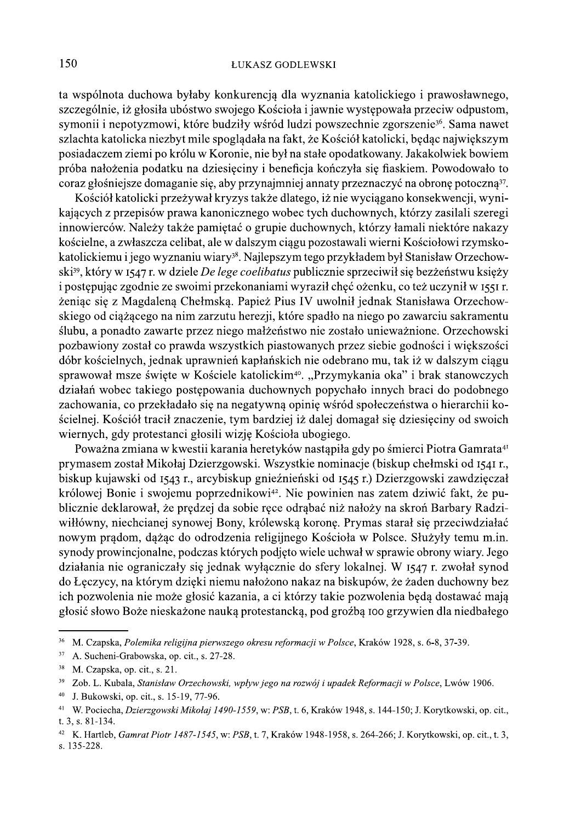ta wspólnota duchowa byłaby konkurencją dla wyznania katolickiego i prawosławnego, szczególnie, iż głosiła ubóstwo swojego Kościoła i jawnie występowała przeciw odpustom, symonii i nepotyzmowi, które budziły wśród ludzi powszechnie zgorszenie<sup>36</sup>. Sama nawet szlachta katolicka niezbyt mile spoglądała na fakt, że Kościół katolicki, będąc największym posiadaczem ziemi po królu w Koronie, nie był na stałe opodatkowany. Jakakolwiek bowiem próba nałożenia podatku na dziesięciny i beneficja kończyła się fiaskiem. Powodowało to coraz głośniejsze domaganie się, aby przynajmniej annaty przeznaczyć na obronę potoczną<sup>37</sup>.

Kościół katolicki przeżywał kryzys także dlatego, iż nie wyciągano konsekwencji, wynikających z przepisów prawa kanonicznego wobec tych duchownych, którzy zasilali szeregi innowierców. Należy także pamiętać o grupie duchownych, którzy łamali niektóre nakazy kościelne, a zwłaszcza celibat, ale w dalszym ciągu pozostawali wierni Kościołowi rzymskokatolickiemu i jego wyznaniu wiary<sup>38</sup>. Najlepszym tego przykładem był Stanisław Orzechowski<sup>39</sup>, który w 1547 r. w dziele De lege coelibatus publicznie sprzeciwił się bezżeństwu księży i postępując zgodnie ze swoimi przekonaniami wyraził chęć ożenku, co też uczynił w 1551 r. żeniąc się z Magdaleną Chełmską. Papież Pius IV uwolnił jednak Stanisława Orzechowskiego od ciążącego na nim zarzutu herezji, które spadło na niego po zawarciu sakramentu ślubu, a ponadto zawarte przez niego małżeństwo nie zostało unieważnione. Orzechowski pozbawiony został co prawda wszystkich piastowanych przez siebie godności i większości dóbr kościelnych, jednak uprawnień kapłańskich nie odebrano mu, tak iż w dalszym ciągu sprawował msze święte w Kościele katolickim<sup>40</sup>. "Przymykania oka" i brak stanowczych działań wobec takiego postępowania duchownych popychało innych braci do podobnego zachowania, co przekładało się na negatywną opinię wśród społeczeństwa o hierarchii kościelnej. Kościół tracił znaczenie, tym bardziej iż dalej domagał się dziesięciny od swoich wiernych, gdy protestanci głosili wizję Kościoła ubogiego.

Poważna zmiana w kwestii karania heretyków nastąpiła gdy po śmierci Piotra Gamrata<sup>41</sup> prymasem został Mikołaj Dzierzgowski. Wszystkie nominacje (biskup chełmski od 1541 r., biskup kujawski od 1543 r., arcybiskup gnieźnieński od 1545 r.) Dzierzgowski zawdzięczał królowej Bonie i swojemu poprzednikowi<sup>42</sup>. Nie powinien nas zatem dziwić fakt, że publicznie deklarował, że prędzej da sobie ręce odrąbać niż nałoży na skroń Barbary Radziwiłłówny, niechcianej synowej Bony, królewską koronę. Prymas starał się przeciwdziałać nowym prądom, dążąc do odrodzenia religijnego Kościoła w Polsce. Służyły temu m.in. synody prowincjonalne, podczas których podjęto wiele uchwał w sprawie obrony wiary. Jego działania nie ograniczały się jednak wyłącznie do sfery lokalnej. W 1547 r. zwołał synod do Łęczycy, na którym dzięki niemu nałożono nakaz na biskupów, że żaden duchowny bez ich pozwolenia nie może głosić kazania, a ci którzy takie pozwolenia będą dostawać mają głosić słowo Boże nieskażone nauką protestancką, pod groźbą 100 grzywien dla niedbałego

<sup>&</sup>lt;sup>36</sup> M. Czapska, Polemika religijna pierwszego okresu reformacji w Polsce, Kraków 1928, s. 6-8, 37-39.

<sup>&</sup>lt;sup>37</sup> A. Sucheni-Grabowska, op. cit., s. 27-28.

<sup>&</sup>lt;sup>38</sup> M. Czapska, op. cit., s. 21.

<sup>&</sup>lt;sup>39</sup> Zob. L. Kubala, *Stanisław Orzechowski, wpływ jego na rozwój i upadek Reformacji w Polsce*, Lwów 1906.

<sup>&</sup>lt;sup>40</sup> J. Bukowski, op. cit., s. 15-19, 77-96.

<sup>&</sup>lt;sup>41</sup> W. Pociecha, *Dzierzgowski Mikołaj 1490-1559*, w: PSB, t. 6, Kraków 1948, s. 144-150; J. Korytkowski, op. cit., t. 3, s. 81-134.

 $42\,$ K. Hartleb, Gamrat Piotr 1487-1545, w: PSB, t. 7, Kraków 1948-1958, s. 264-266; J. Korytkowski, op. cit., t. 3, s. 135-228.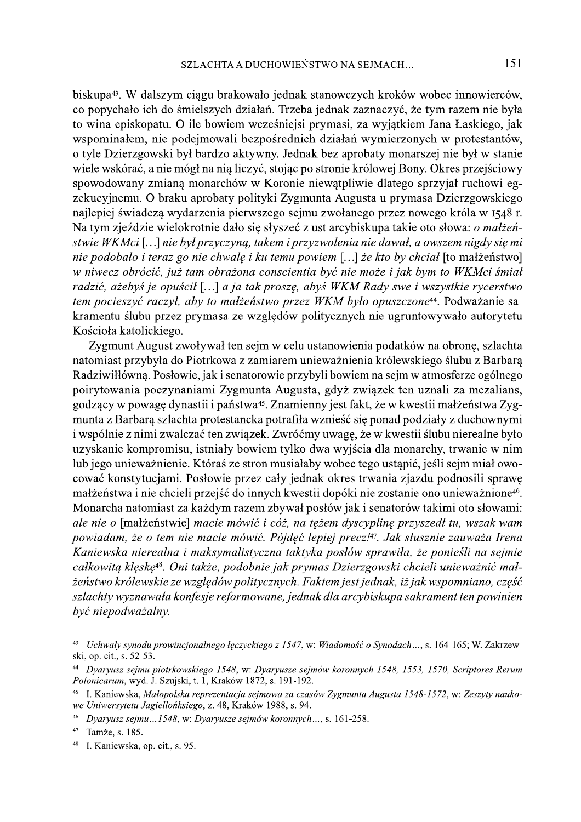biskupa<sup>43</sup>. W dalszym ciągu brakowało jednak stanowczych kroków wobec innowierców, co popychało ich do śmielszych działań. Trzeba jednak zaznaczyć, że tym razem nie była to wina episkopatu. O ile bowiem wcześniejsi prymasi, za wyjatkiem Jana Łaskiego, jak wspominałem, nie podejmowali bezpośrednich działań wymierzonych w protestantów, o tyle Dzierzgowski był bardzo aktywny. Jednak bez aprobaty monarszej nie był w stanie wiele wskórać, a nie mógł na nią liczyć, stojąc po stronie królowej Bony. Okres przejściowy spowodowany zmianą monarchów w Koronie niewątpliwie dlatego sprzyjał ruchowi egzekucyjnemu. O braku aprobaty polityki Zygmunta Augusta u prymasa Dzierzgowskiego najlepiej świadczą wydarzenia pierwszego sejmu zwołanego przez nowego króla w 1548 r. Na tym zjeździe wielokrotnie dało się słyszeć z ust arcybiskupa takie oto słowa: o małżeństwie WKMci [...] nie był przyczyną, takem i przyzwolenia nie dawał, a owszem nigdy się mi nie podobało i teraz go nie chwalę i ku temu powiem [...] że kto by chciał [to małżeństwo] w niwecz obrócić, już tam obrażona conscientia być nie może i jak bym to WKMci śmiał radzić, ażebyś je opuścił [...] a ja tak proszę, abyś WKM Rady swe i wszystkie rycerstwo tem pocieszyć raczył, aby to małżeństwo przez WKM było opuszczone44. Podważanie sakramentu ślubu przez prymasa ze względów politycznych nie ugruntowywało autorytetu Kościoła katolickiego.

Zygmunt August zwoływał ten sejm w celu ustanowienia podatków na obronę, szlachta natomiast przybyła do Piotrkowa z zamiarem unieważnienia królewskiego ślubu z Barbarą Radziwiłłówną. Posłowie, jak i senatorowie przybyli bowiem na sejm w atmosferze ogólnego poirytowania poczynaniami Zygmunta Augusta, gdyż związek ten uznali za mezalians, godzący w powagę dynastii i państwa<sup>45</sup>. Znamienny jest fakt, że w kwestii małżeństwa Zygmunta z Barbarą szlachta protestancka potrafiła wznieść się ponad podziały z duchownymi i wspólnie z nimi zwalczać ten związek. Zwróćmy uwagę, że w kwestii ślubu nierealne było uzyskanie kompromisu, istniały bowiem tylko dwa wyjścia dla monarchy, trwanie w nim lub jego unieważnienie. Któraś ze stron musiałaby wobec tego ustąpić, jeśli sejm miał owocować konstytucjami. Posłowie przez cały jednak okres trwania zjazdu podnosili sprawę małżeństwa i nie chcieli przejść do innych kwestii dopóki nie zostanie ono unieważnione<sup>46</sup>. Monarcha natomiast za każdym razem zbywał posłów jak i senatorów takimi oto słowami: ale nie o [małżeństwie] macie mówić i cóż, na tężem dyscyplinę przyszedł tu, wszak wam powiadam, że o tem nie macie mówić. Pójdęć lepiej precz!<sup>47</sup>. Jak słusznie zauważa Irena Kaniewska nierealna i maksymalistyczna taktyka posłów sprawiła, że ponieśli na sejmie całkowitą klęskę<sup>48</sup>. Oni także, podobnie jak prymas Dzierzgowski chcieli unieważnić małżeństwo królewskie ze względów politycznych. Faktem jest jednak, iż jak wspomniano, część szlachty wyznawała konfesje reformowane, jednak dla arcybiskupa sakrament ten powinien być niepodważalny.

<sup>43</sup> Uchwały synodu prowincjonalnego łęczyckiego z 1547, w: Wiadomość o Synodach..., s. 164-165; W. Zakrzewski, op. cit., s. 52-53.

<sup>&</sup>lt;sup>44</sup> Dyaryusz sejmu piotrkowskiego 1548, w: Dyaryusze sejmów koronnych 1548, 1553, 1570, Scriptores Rerum Polonicarum, wyd. J. Szujski, t. 1, Kraków 1872, s. 191-192.

<sup>45</sup> I. Kaniewska, Małopolska reprezentacja sejmowa za czasów Zygmunta Augusta 1548-1572, w: Zeszyty naukowe Uniwersytetu Jagiellońksiego, z. 48, Kraków 1988, s. 94.

<sup>46</sup> Dyaryusz sejmu...1548, w: Dyaryusze sejmów koronnych..., s. 161-258.

<sup>47</sup> Tamże, s. 185.

 $\bf 48$ I. Kaniewska, op. cit., s. 95.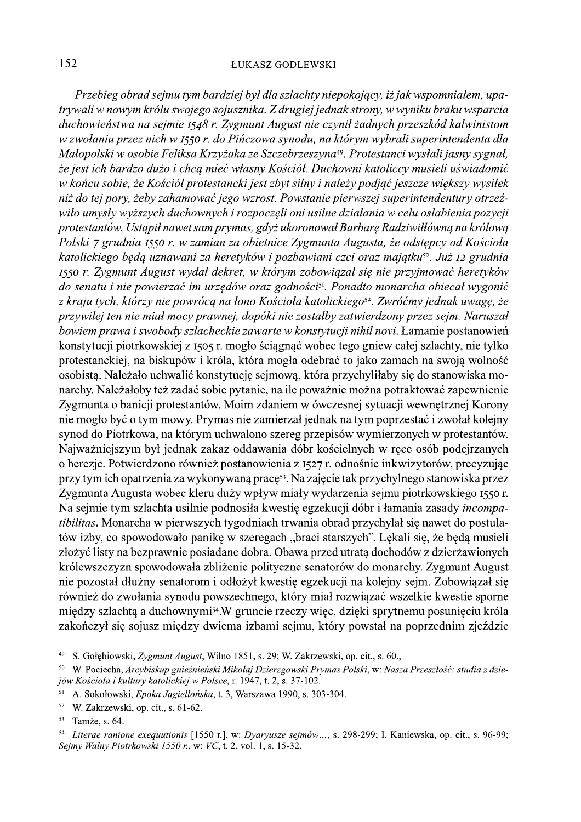Przebieg obrad sejmu tym bardziej był dla szlachty niepokojący, iż jak wspomniałem, upatrywali w nowym królu swojego sojusznika. Z drugiej jednak strony, w wyniku braku wsparcia duchowieństwa na sejmie 1548 r. Zygmunt August nie czynił żadnych przeszkód kalwinistom w zwołaniu przez nich w 1550 r. do Pińczowa synodu, na którym wybrali superintendenta dla Małopolski w osobie Feliksa Krzyżaka ze Szczebrzeszyna<sup>49</sup>. Protestanci wysłali jasny sygnał, że jest ich bardzo dużo i chcą mieć własny Kościół. Duchowni katoliccy musieli uświadomić w końcu sobie, że Kościół protestancki jest zbyt silny i należy podjąć jeszcze większy wysiłek niż do tej pory, żeby zahamować jego wzrost. Powstanie pierwszej superintendentury otrzeźwiło umysły wyższych duchownych i rozpoczęli oni usilne działania w celu osłabienia pozycji protestantów. Ustąpił nawet sam prymas, gdyż ukoronował Barbarę Radziwiłłówną na królową Polski 7 grudnia 1550 r. w zamian za obietnice Zygmunta Augusta, że odstępcy od Kościoła katolickiego będą uznawani za heretyków i pozbawiani czci oraz majątku<sup>50</sup>. Już 12 grudnia 1550 r. Zygmunt August wydał dekret, w którym zobowiązał się nie przyjmować heretyków do senatu i nie powierzać im urzędów oraz godności<sup>51</sup>. Ponadto monarcha obiecał wygonić z kraju tych, którzy nie powrócą na łono Kościoła katolickiego<sup>52</sup>. Zwróćmy jednak uwagę, że przywilej ten nie miał mocy prawnej, dopóki nie zostałby zatwierdzony przez sejm. Naruszał bowiem prawa i swobody szlacheckie zawarte w konstytucji nihil novi. Łamanie postanowień konstytucji piotrkowskiej z 1505 r. mogło ściągnąć wobec tego gniew całej szlachty, nie tylko protestanckiej, na biskupów i króla, która mogła odebrać to jako zamach na swoją wolność osobista. Należało uchwalić konstytucję sejmową, która przychyliłaby się do stanowiska monarchy. Należałoby też zadać sobie pytanie, na ile poważnie można potraktować zapewnienie Zygmunta o banicji protestantów. Moim zdaniem w ówczesnej sytuacji wewnętrznej Korony nie mogło być o tym mowy. Prymas nie zamierzał jednak na tym poprzestać i zwołał kolejny synod do Piotrkowa, na którym uchwalono szereg przepisów wymierzonych w protestantów. Najważniejszym był jednak zakaz oddawania dóbr kościelnych w ręce osób podejrzanych o herezje. Potwierdzono również postanowienia z 1527 r. odnośnie inkwizytorów, precyzując przy tym ich opatrzenia za wykonywaną pracę<sup>53</sup>. Na zajęcie tak przychylnego stanowiska przez Zygmunta Augusta wobec kleru duży wpływ miały wydarzenia sejmu piotrkowskiego 1550 r. Na sejmie tym szlachta usilnie podnosiła kwestię egzekucji dóbr i łamania zasady incompatibilitas. Monarcha w pierwszych tygodniach trwania obrad przychylał się nawet do postulatów izby, co spowodowało panikę w szeregach "braci starszych". Lękali się, że będą musieli złożyć listy na bezprawnie posiadane dobra. Obawa przed utratą dochodów z dzierżawionych królewszczyzn spowodowała zbliżenie polityczne senatorów do monarchy. Zygmunt August nie pozostał dłużny senatorom i odłożył kwestię egzekucji na kolejny sejm. Zobowiązał się również do zwołania synodu powszechnego, który miał rozwiązać wszelkie kwestie sporne między szlachtą a duchownymi<sup>54</sup>.W gruncie rzeczy więc, dzięki sprytnemu posunięciu króla zakończył się sojusz między dwiema izbami sejmu, który powstał na poprzednim zjeździe

<sup>49</sup> S. Gołębiowski, Zygmunt August, Wilno 1851, s. 29; W. Zakrzewski, op. cit., s. 60.,

<sup>50</sup> W. Pociecha, Arcybiskup gnieźnieński Mikołaj Dzierzgowski Prymas Polski, w: Nasza Przeszłość: studia z dziejów Kościoła i kultury katolickiej w Polsce, r. 1947, t. 2, s. 37-102.

A. Sokołowski, Epoka Jagiellońska, t. 3, Warszawa 1990, s. 303-304. 51

<sup>52</sup> W. Zakrzewski, op. cit., s. 61-62.

<sup>53</sup> Tamże, s. 64.

<sup>54</sup> Literae ranione exequutionis [1550 r.], w: Dyaryusze sejmów..., s. 298-299; I. Kaniewska, op. cit., s. 96-99; Sejmy Walny Piotrkowski 1550 r., w: VC, t. 2, vol. 1, s. 15-32.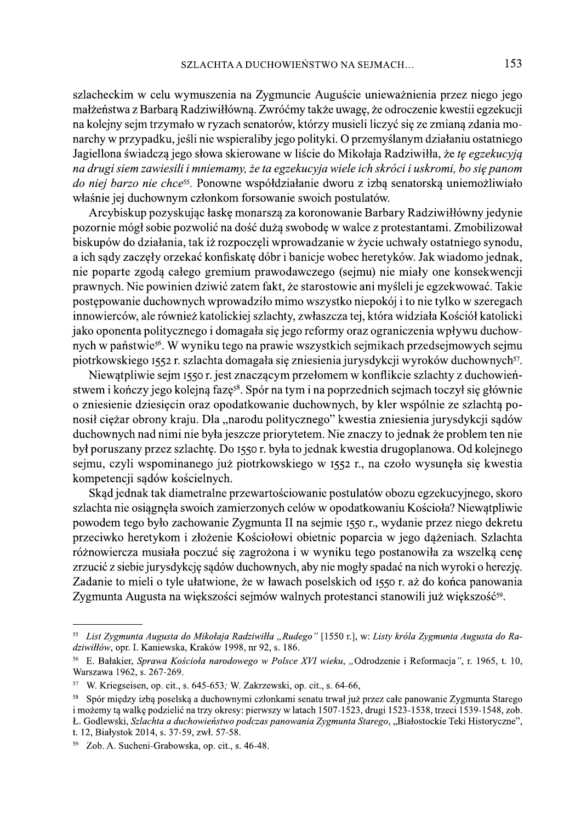szlacheckim w celu wymuszenia na Zygmuncie Auguście unieważnienia przez niego jego małżeństwa z Barbarą Radziwiłłówną. Zwróćmy także uwagę, że odroczenie kwestii egzekucji na kolejny sejm trzymało w ryzach senatorów, którzy musieli liczyć się ze zmianą zdania monarchy w przypadku, jeśli nie wspieraliby jego polityki. O przemyślanym działaniu ostatniego Jagiellona świadczą jego słowa skierowane w liście do Mikołaja Radziwiłła, że tę egzekucyją na drugi siem zawiesili i mniemamy, że ta egzekucyja wiele ich skróci i uskromi, bo się panom do niej barzo nie chce<sup>55</sup>. Ponowne współdziałanie dworu z izbą senatorską uniemożliwiało właśnie jej duchownym członkom forsowanie swoich postulatów.

Arcybiskup pozyskując łaskę monarszą za koronowanie Barbary Radziwiłłówny jedynie pozornie mógł sobie pozwolić na dość dużą swobodę w walce z protestantami. Zmobilizował biskupów do działania, tak iż rozpoczęli wprowadzanie w życie uchwały ostatniego synodu, a ich sądy zaczęły orzekać konfiskatę dóbr i banicje wobec heretyków. Jak wiadomo jednak, nie poparte zgodą całego gremium prawodawczego (sejmu) nie miały one konsekwencji prawnych. Nie powinien dziwić zatem fakt, że starostowie ani myśleli je egzekwować. Takie postępowanie duchownych wprowadziło mimo wszystko niepokój i to nie tylko w szeregach innowierców, ale również katolickiej szlachty, zwłaszcza tej, która widziała Kościół katolicki jako oponenta politycznego i domagała się jego reformy oraz ograniczenia wpływu duchownych w państwie<sup>56</sup>. W wyniku tego na prawie wszystkich sejmikach przedsejmowych sejmu piotrkowskiego 1552 r. szlachta domagała się zniesienia jurysdykcji wyroków duchownych<sup>57</sup>.

Niewątpliwie sejm 1550 r. jest znaczącym przełomem w konflikcie szlachty z duchowieństwem i kończy jego kolejną fazę<sup>58</sup>. Spór na tym i na poprzednich sejmach toczył się głównie o zniesienie dziesięcin oraz opodatkowanie duchownych, by kler wspólnie ze szlachtą ponosił ciężar obrony kraju. Dla "narodu politycznego" kwestia zniesienia jurysdykcji sądów duchownych nad nimi nie była jeszcze priorytetem. Nie znaczy to jednak że problem ten nie był poruszany przez szlachtę. Do 1550 r. była to jednak kwestia drugoplanowa. Od kolejnego sejmu, czyli wspominanego już piotrkowskiego w 1552 r., na czoło wysunęła się kwestia kompetencji sadów kościelnych.

Skąd jednak tak diametralne przewartościowanie postulatów obozu egzekucyjnego, skoro szlachta nie osiągneła swoich zamierzonych celów w opodatkowaniu Kościoła? Niewatpliwie powodem tego było zachowanie Zygmunta II na sejmie 1550 r., wydanie przez niego dekretu przeciwko heretykom i złożenie Kościołowi obietnic poparcia w jego dążeniach. Szlachta różnowiercza musiała poczuć się zagrożona i w wyniku tego postanowiła za wszelką cenę zrzucić z siebie jurysdykcję sądów duchownych, aby nie mogły spadać na nich wyroki o herezję. Zadanie to mieli o tyle ułatwione, że w ławach poselskich od 1550 r. aż do końca panowania Zygmunta Augusta na większości sejmów walnych protestanci stanowili już większość<sup>59</sup>.

<sup>55</sup> List Zygmunta Augusta do Mikołaja Radziwiłła "Rudego" [1550 r.], w: Listy króla Zygmunta Augusta do Radziwiłłów, opr. I. Kaniewska, Kraków 1998, nr 92, s. 186.

<sup>&</sup>lt;sup>56</sup> E. Bałakier, Sprawa Kościoła narodowego w Polsce XVI wieku, "Odrodzenie i Reformacja", r. 1965, t. 10, Warszawa 1962, s. 267-269.

W. Kriegseisen, op. cit., s. 645-653; W. Zakrzewski, op. cit., s. 64-66, 57

<sup>58</sup> Spór między izbą poselską a duchownymi członkami senatu trwał już przez całe panowanie Zygmunta Starego i możemy tą walkę podzielić na trzy okresy: pierwszy w latach 1507-1523, drugi 1523-1538, trzeci 1539-1548, zob. Ł. Godlewski, Szlachta a duchowieństwo podczas panowania Zygmunta Starego, "Białostockie Teki Historyczne", t. 12, Białystok 2014, s. 37-59, zwł. 57-58.

<sup>&</sup>lt;sup>59</sup> Zob. A. Sucheni-Grabowska, op. cit., s. 46-48.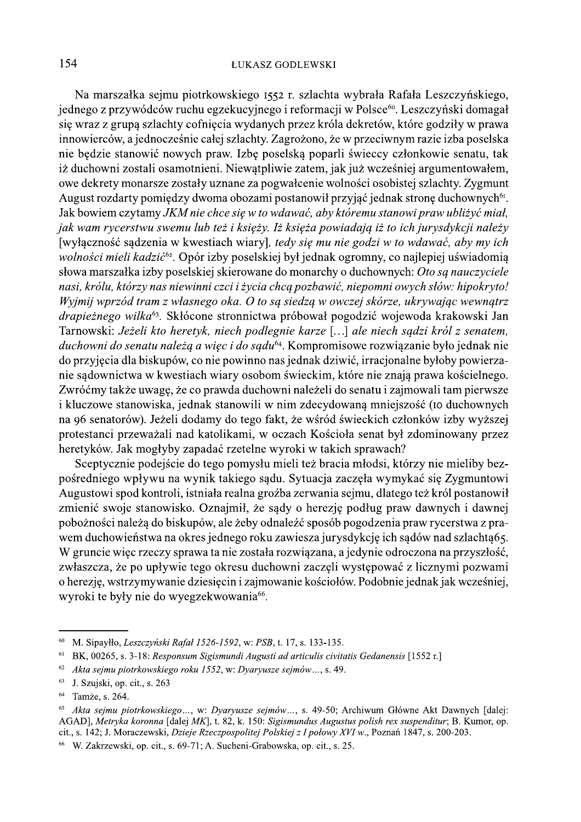154<br>
14 R. et v. et v. et v. et v. et v. et v. et v. et v. et v. et v. et v. et v. et v. et v. et v. et v. et v. et v. et v. et v. et v. et v. et v. et v. et v. et v. et v. et v. et v. et v. et v. et v. et v. et v. et v.

 $60$  M. Sipayłło, Leszczyński Rafał 1526-1592, w: PSB, t. 17, s. 133-135.

<sup>&</sup>lt;sup>61</sup> BK, 00265, s. 3-18: *Responsum Sigismundi Augusti ad articulis civitatis Gedanensis* [1552 r.]<br><sup>62</sup> Akta seimu piotrkowskiego roku 1552 w: Dvarvusze seimów s 49

 $^{62}$  Akta sejmu piotrkowskiego roku 1552, w: Dyaryusze sejmów..., s. 49.

 $1$ amze, s.  $264$ .

wyroki te były nie do wyegzekwo<br>
<sup>60</sup> M. Sipayłło, *Leszczyński Rafał 1526-15*<br>
<sup>61</sup> BK, 00265, s. 3-18: *Responsum Sigismi*<br>
<sup>62</sup> Akta sejmu piotrkowskiego roku 1552, v<br>
<sup>63</sup> J. Szujski, op. cit., s. 263<br>
<sup>64</sup> Tamże, s. 2 <sup>65</sup> Akta sejmu piotrkowskiego..., w: Dyaryusze sejmów..., s. 49-50; Archiwum Główne Akt Dawnych [dalej: AGAD], Metryka koronna [dalej MK], t. 82, k. 150: Sigismundus Augustus polish rex suspenditur; B. Kumor, op. *PSB*, t. 17, s. 133-135.<br>
ugusti ad articulis civitatis Gedanensis [1552 r.]<br>
ryusze sejmów..., s. 49.<br>
sejmów..., s. 49-50; Archiwum Główne Akt Da<br>
50: *Sigismundus Augustus polish rex suspenditur;*<br>
ej Polskiej z I poło <sup>60</sup> M. Sipayłło, *Leszczyński Rafal 1526-1592*, w: *PSB*, t. 17, s. 133-135.<br><sup>61</sup> BK, 00265, s. 3-18: *Responsum Sigismundi Augusti ad articulis civitatis Gedanensis* [1552 r.]<br><sup>62</sup> *Akta sejmu piotrkowskiego roku 1552,* M. Sipayllo, *Leszczyński Rafal 1526-1592*, w: *PSB*, t. 17, s. 133-135.<br>
6 BK, 00265, s. 3-18: *Responsum Sigismundi Augusti ad articulis civitatis Gedanensis* [1552 r.]<br>
62 *Akta sejmu piotrkowskiego roku 1552*, w: *Dya* <sup>60</sup> M. Sipayłło, *Leszczyński Rafał 1526-1592*, w: *PSB*, t. 17, s. 133-135.<br>
<sup>61</sup> BK, 00265, s. 3-18: *Responsum Sigismundi Augusti ad articulis civitatis Gedanensis* [15:<br>
<sup>62</sup> *Akta sejmu piotrkowskiego roku 1552*, w: cit., s. 142; J. Moraczewski, Dzieje Rzeczpospolitej Polskiej z I połowy XVI w., Poznań 1847, s. 200-203. <sup>61</sup> BK, 00265, s. 3-18: *Responsum Sigismundi Augusti ad articulis*<br>
<sup>62</sup> *Akta sejmu piotrkowskiego roku 1552*, w: *Dyaryusze sejmów...*,<br>
<sup>63</sup> *J.* Szujski, op. cit., s. 263<br>
<sup>64</sup> Tamże, s. 264.<br>
<sup>65</sup> *Akta sejmu piotr* mundi Augusti ad articulis civitatis Gedanensis [1<br>
2, w: Dyaryusze sejmów..., s. 49.<br>
yaryusze sejmów..., s. 49-50; Archiwum Główn<br>
. 82, k. 150: Sigismundus Augustus polish rex sus<br>
zpospolitej Polskiej z I połowy XVI w.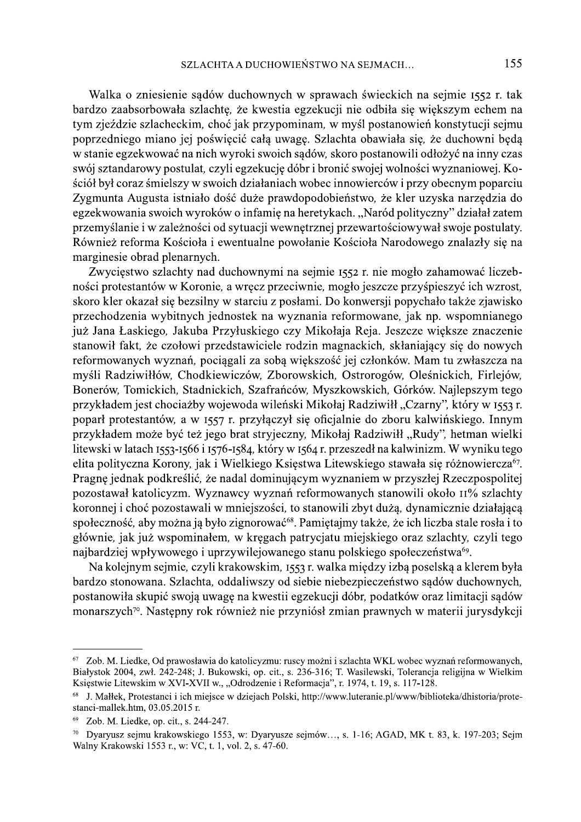Walka o zniesienie sądów duchownych w sprawach świeckich na sejmie 1552 r. tak bardzo zaabsorbowała szlachtę, że kwestia egzekucji nie odbiła się większym echem na tym zjeździe szlacheckim, choć jak przypominam, w myśl postanowień konstytucji sejmu poprzedniego miano jej poświęcić całą uwagę. Szlachta obawiała się, że duchowni będą w stanie egzekwować na nich wyroki swoich sądów, skoro postanowili odłożyć na inny czas swój sztandarowy postulat, czyli egzekucję dóbr i bronić swojej wolności wyznaniowej. Kościół był coraz śmielszy w swoich działaniach wobec innowierców i przy obecnym poparciu Zygmunta Augusta istniało dość duże prawdopodobieństwo, że kler uzyska narzędzia do egzekwowania swoich wyroków o infamie na heretykach. "Naród polityczny" działał zatem przemyślanie i w zależności od sytuacji wewnętrznej przewartościowywał swoje postulaty. Również reforma Kościoła i ewentualne powołanie Kościoła Narodowego znalazły się na marginesie obrad plenarnych.

Zwycięstwo szlachty nad duchownymi na sejmie 1552 r. nie mogło zahamować liczebności protestantów w Koronie, a wręcz przeciwnie, mogło jeszcze przyśpieszyć ich wzrost, skoro kler okazał się bezsilny w starciu z posłami. Do konwersji popychało także zjawisko przechodzenia wybitnych jednostek na wyznania reformowane, jak np. wspomnianego już Jana Łaskiego, Jakuba Przyłuskiego czy Mikołaja Reja. Jeszcze większe znaczenie stanowił fakt, że czołowi przedstawiciele rodzin magnackich, skłaniający się do nowych reformowanych wyznań, pociągali za sobą większość jej członków. Mam tu zwłaszcza na myśli Radziwiłłów, Chodkiewiczów, Zborowskich, Ostrorogów, Oleśnickich, Firlejów, Bonerów, Tomickich, Stadnickich, Szafrańców, Myszkowskich, Górków, Najlepszym tego przykładem jest chociażby wojewoda wileński Mikołaj Radziwiłł "Czarny", który w 1553 r. poparł protestantów, a w 1557 r. przyłączył się oficjalnie do zboru kalwińskiego. Innym przykładem może być też jego brat stryjeczny, Mikołaj Radziwiłł "Rudy", hetman wielki litewski w latach 1553-1566 i 1576-1584, który w 1564 r. przeszedł na kalwinizm. W wyniku tego elita polityczna Korony, jak i Wielkiego Księstwa Litewskiego stawała się różnowiercza<sup>67</sup>. Pragne jednak podkreślić, że nadal dominującym wyznaniem w przyszłej Rzeczpospolitej pozostawał katolicyzm. Wyznawcy wyznań reformowanych stanowili około 11% szlachty koronnej i choć pozostawali w mniejszości, to stanowili zbyt dużą, dynamicznie działającą społeczność, aby można ją było zignorować<sup>68</sup>. Pamiętajmy także, że ich liczba stale rosła i to głównie, jak już wspominałem, w kręgach patrycjatu miejskiego oraz szlachty, czyli tego najbardziej wpływowego i uprzywilejowanego stanu polskiego społeczeństwa<sup>69</sup>.

Na kolejnym sejmie, czyli krakowskim, 1553 r. walka między izbą poselską a klerem była bardzo stonowana. Szlachta, oddaliwszy od siebie niebezpieczeństwo sądów duchownych, postanowiła skupić swoją uwagę na kwestii egzekucji dóbr, podatków oraz limitacji sądów monarszych<sup>70</sup>. Następny rok również nie przyniósł zmian prawnych w materii jurysdykcji

 $67$  Zob. M. Liedke, Od prawosławia do katolicyzmu: ruscy możni i szlachta WKL wobec wyznań reformowanych, Białystok 2004, zwł. 242-248; J. Bukowski, op. cit., s. 236-316; T. Wasilewski, Tolerancja religijna w Wielkim Księstwie Litewskim w XVI-XVII w., "Odrodzenie i Reformacja", r. 1974, t. 19, s. 117-128.

J. Małłek, Protestanci i ich miejsce w dziejach Polski, http://www.luteranie.pl/www/biblioteka/dhistoria/protestanci-mallek.htm, 03.05.2015 r.

<sup>69</sup> Zob. M. Liedke, op. cit., s. 244-247.

Dyaryusz sejmu krakowskiego 1553, w: Dyaryusze sejmów..., s. 1-16; AGAD, MK t. 83, k. 197-203; Sejm  $70\,$ Walny Krakowski 1553 r., w: VC, t. 1, vol. 2, s. 47-60.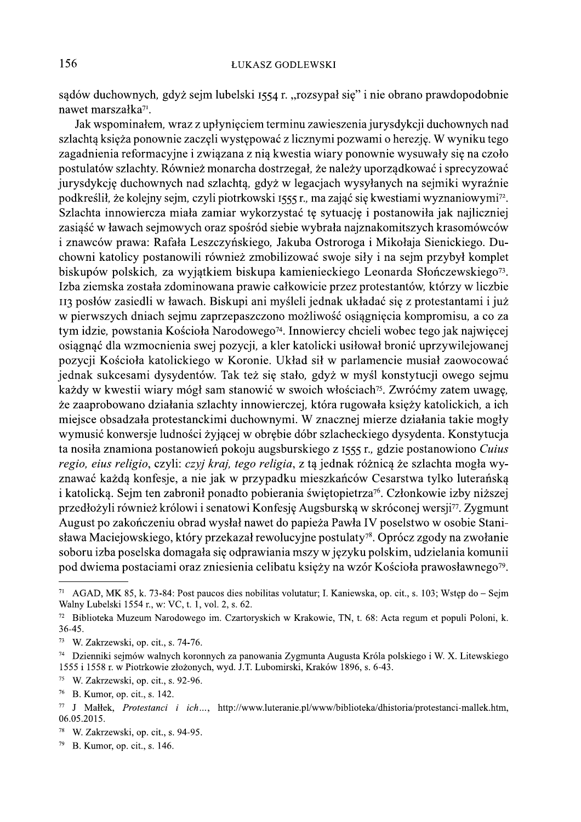sądów duchownych, gdyż sejm lubelski 1554 r. "rozsypał się" i nie obrano prawdopodobnie nawet marszałka<sup>71</sup>.

Jak wspominałem, wraz z upłynięciem terminu zawieszenia jurysdykcji duchownych nad szlachtą księża ponownie zaczęli występować z licznymi pozwami o herezję. W wyniku tego zagadnienia reformacyjne i związana z nią kwestia wiary ponownie wysuwały się na czoło postulatów szlachty. Również monarcha dostrzegał, że należy uporządkować i sprecyzować jurysdykcję duchownych nad szlachtą, gdyż w legacjach wysyłanych na sejmiki wyraźnie podkreślił, że kolejny sejm, czyli piotrkowski 1555 r., ma zająć się kwestiami wyznaniowymi<sup>72</sup>. Szlachta innowiercza miała zamiar wykorzystać te sytuację i postanowiła jak najliczniej zasiąść w ławach sejmowych oraz spośród siebie wybrała najznakomitszych krasomówców i znawców prawa: Rafała Leszczyńskiego, Jakuba Ostroroga i Mikołaja Sienickiego. Duchowni katolicy postanowili również zmobilizować swoje siły i na sejm przybył komplet biskupów polskich, za wyjątkiem biskupa kamienieckiego Leonarda Słończewskiego<sup>73</sup>. Izba ziemska została zdominowana prawie całkowicie przez protestantów, którzy w liczbie 113 posłów zasiedli w ławach. Biskupi ani myśleli jednak układać się z protestantami i już w pierwszych dniach sejmu zaprzepaszczono możliwość osiągnięcia kompromisu, a co za tym idzie, powstania Kościoła Narodowego<sup>74</sup>. Innowiercy chcieli wobec tego jak najwięcej osiągnąć dla wzmocnienia swej pozycji, a kler katolicki usiłował bronić uprzywilejowanej pozycji Kościoła katolickiego w Koronie. Układ sił w parlamencie musiał zaowocować jednak sukcesami dysydentów. Tak też się stało, gdyż w myśl konstytucji owego sejmu każdy w kwestii wiary mógł sam stanowić w swoich włościach<sup>75</sup>. Zwróćmy zatem uwagę, że zaaprobowano działania szlachty innowierczej, która rugowała księży katolickich, a ich miejsce obsadzała protestanckimi duchownymi. W znacznej mierze działania takie mogły wymusić konwersje ludności żyjącej w obrębie dóbr szlacheckiego dysydenta. Konstytucja ta nosiła znamiona postanowień pokoju augsburskiego z 1555 r., gdzie postanowiono Cuius regio, eius religio, czyli: czyj kraj, tego religia, z tą jednak różnicą że szlachta mogła wyznawać każdą konfesje, a nie jak w przypadku mieszkańców Cesarstwa tylko luterańską i katolicką. Sejm ten zabronił ponadto pobierania świętopietrza<sup>76</sup>. Członkowie izby niższej przedłożyli również królowi i senatowi Konfesie Augsburska w skróconej wersji<sup>77</sup>. Zygmunt August po zakończeniu obrad wysłał nawet do papieża Pawła IV poselstwo w osobie Stanisława Maciejowskiego, który przekazał rewolucyjne postulaty<sup>78</sup>. Oprócz zgody na zwołanie soboru izba poselska domagała się odprawiania mszy w języku polskim, udzielania komunii pod dwiema postaciami oraz zniesienia celibatu księży na wzór Kościoła prawosławnego<sup>79</sup>.

AGAD, MK 85, k. 73-84: Post paucos dies nobilitas volutatur; I. Kaniewska, op. cit., s. 103; Wstep do – Sejm Walny Lubelski 1554 r., w: VC, t. 1, vol. 2, s. 62.

 $72\,$ Biblioteka Muzeum Narodowego im. Czartoryskich w Krakowie, TN, t. 68: Acta regum et populi Poloni, k.  $36-45.$ 

<sup>&</sup>lt;sup>73</sup> W. Zakrzewski, op. cit., s. 74-76.

<sup>74</sup> Dzienniki sejmów walnych koronnych za panowania Zygmunta Augusta Króla polskiego i W. X. Litewskiego 1555 i 1558 r. w Piotrkowie złożonych, wyd. J.T. Lubomirski, Kraków 1896, s. 6-43.

 $75\,$ W. Zakrzewski, op. cit., s. 92-96.

 $76\,$ B. Kumor, op. cit., s. 142.

<sup>77</sup> J Małłek, Protestanci i ich..., http://www.luteranie.pl/www/biblioteka/dhistoria/protestanci-mallek.htm, 06.05.2015.

<sup>78</sup> W. Zakrzewski, op. cit., s. 94-95.

<sup>79</sup> B. Kumor, op. cit., s. 146.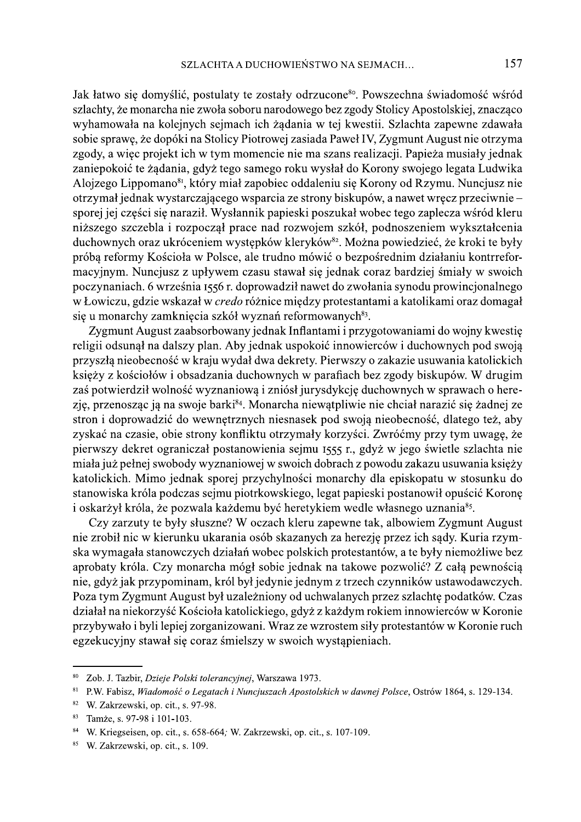Jak łatwo się domyślić, postulaty te zostały odrzucone<sup>80</sup>. Powszechna świadomość wśród szlachty, że monarcha nie zwoła soboru narodowego bez zgody Stolicy Apostolskiej, znacząco wyhamowała na kolejnych sejmach ich żadania w tej kwestii. Szlachta zapewne zdawała sobie sprawę, że dopóki na Stolicy Piotrowej zasiada Paweł IV, Zygmunt August nie otrzyma zgody, a więc projekt ich w tym momencie nie ma szans realizacji. Papieża musiały jednak zaniepokoić te żądania, gdyż tego samego roku wysłał do Korony swojego legata Ludwika Alojzego Lippomano<sup>81</sup>, który miał zapobiec oddaleniu się Korony od Rzymu. Nuncjusz nie otrzymał jednak wystarczającego wsparcia ze strony biskupów, a nawet wręcz przeciwnie – sporej jej części się naraził. Wysłannik papieski poszukał wobec tego zaplecza wśród kleru niższego szczebla i rozpoczął prace nad rozwojem szkół, podnoszeniem wykształcenia duchownych oraz ukróceniem występków kleryków<sup>82</sup>. Można powiedzieć, że kroki te były próba reformy Kościoła w Polsce, ale trudno mówić o bezpośrednim działaniu kontrreformacyjnym. Nuncjusz z upływem czasu stawał się jednak coraz bardziej śmiały w swoich poczynaniach. 6 września 1556 r. doprowadził nawet do zwołania synodu prowincjonalnego w Łowiczu, gdzie wskazał w *credo* różnice między protestantami a katolikami oraz domagał się u monarchy zamknięcia szkół wyznań reformowanych<sup>83</sup>.

Zygmunt August zaabsorbowany jednak Inflantami i przygotowaniami do wojny kwestię religii odsunął na dalszy plan. Aby jednak uspokoić innowierców i duchownych pod swoją przyszłą nieobecność w kraju wydał dwa dekrety. Pierwszy o zakazie usuwania katolickich księży z kościołów i obsadzania duchownych w parafiach bez zgody biskupów. W drugim zaś potwierdził wolność wyznaniową i zniósł jurysdykcję duchownych w sprawach o herezję, przenosząc ją na swoje barki<sup>84</sup>. Monarcha niewątpliwie nie chciał narazić się żadnej ze stron i doprowadzić do wewnętrznych niesnasek pod swoją nieobecność, dlatego też, aby zyskać na czasie, obie strony konfliktu otrzymały korzyści. Zwróćmy przy tym uwagę, że pierwszy dekret ograniczał postanowienia sejmu 1555 r., gdyż w jego świetle szlachta nie miała już pełnej swobody wyznaniowej w swoich dobrach z powodu zakazu usuwania księży katolickich. Mimo jednak sporej przychylności monarchy dla episkopatu w stosunku do stanowiska króla podczas sejmu piotrkowskiego, legat papieski postanowił opuścić Koronę i oskarżył króla, że pozwala każdemu być heretykiem wedle własnego uznania<sup>85</sup>.

Czy zarzuty te były słuszne? W oczach kleru zapewne tak, albowiem Zygmunt August nie zrobił nic w kierunku ukarania osób skazanych za herezję przez ich sądy. Kuria rzymska wymagała stanowczych działań wobec polskich protestantów, a te były niemożliwe bez aprobaty króla. Czy monarcha mógł sobie jednak na takowe pozwolić? Z całą pewnością nie, gdyż jak przypominam, król był jedynie jednym z trzech czynników ustawodawczych. Poza tym Zygmunt August był uzależniony od uchwalanych przez szlachtę podatków. Czas działał na niekorzyść Kościoła katolickiego, gdyż z każdym rokiem innowierców w Koronie przybywało i byli lepiej zorganizowani. Wraz ze wzrostem siły protestantów w Koronie ruch egzekucyjny stawał się coraz śmielszy w swoich wystąpieniach.

 $\bf 80$ Zob. J. Tazbir, Dzieje Polski tolerancyjnej, Warszawa 1973.

<sup>&</sup>lt;sup>81</sup> P.W. Fabisz, Wiadomość o Legatach i Nuncjuszach Apostolskich w dawnej Polsce, Ostrów 1864, s. 129-134.

<sup>&</sup>lt;sup>82</sup> W. Zakrzewski, op. cit., s. 97-98.

 $83\,$ Tamże, s. 97-98 i 101-103.

<sup>84</sup> W. Kriegseisen, op. cit., s. 658-664; W. Zakrzewski, op. cit., s. 107-109.

<sup>85</sup> W. Zakrzewski, op. cit., s. 109.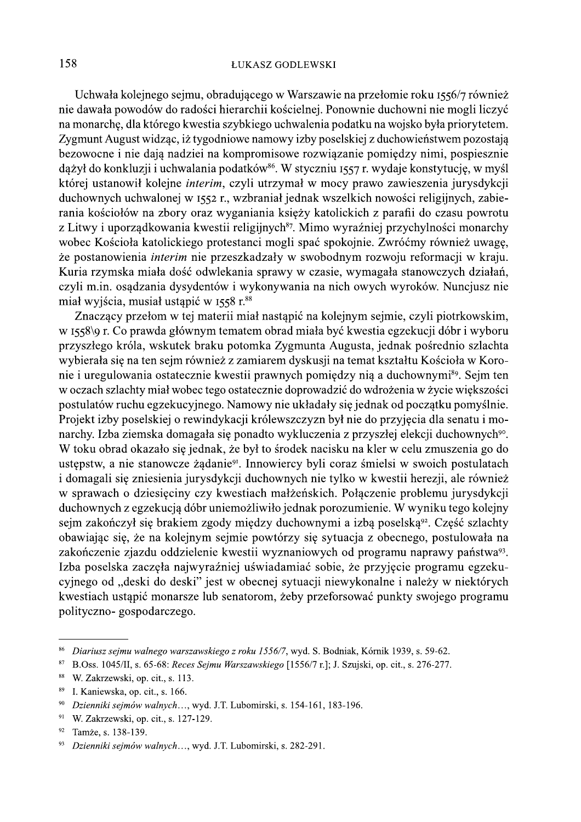Uchwała kolejnego sejmu, obradującego w Warszawie na przełomie roku 1556/7 również nie dawała powodów do radości hierarchii kościelnej. Ponownie duchowni nie mogli liczyć na monarche, dla którego kwestia szybkiego uchwalenia podatku na wojsko była priorytetem. Zygmunt August widząc, iż tygodniowe namowy izby poselskiej z duchowieństwem pozostają bezowocne i nie dają nadziei na kompromisowe rozwiązanie pomiędzy nimi, pospiesznie dążył do konkluzji i uchwalania podatków<sup>86</sup>. W styczniu 1557 r. wydaje konstytucję, w myśl której ustanowił kolejne *interim*, czyli utrzymał w mocy prawo zawieszenia jurysdykcji duchownych uchwalonej w 1552 r., wzbraniał jednak wszelkich nowości religijnych, zabierania kościołów na zbory oraz wyganiania księży katolickich z parafii do czasu powrotu z Litwy i uporządkowania kwestii religijnych<sup>87</sup>. Mimo wyraźniej przychylności monarchy wobec Kościoła katolickiego protestanci mogli spać spokojnie. Zwróćmy również uwagę, że postanowienia *interim* nie przeszkadzały w swobodnym rozwoju reformacji w kraju. Kuria rzymska miała dość odwlekania sprawy w czasie, wymagała stanowczych działań, czyli m.in. osądzania dysydentów i wykonywania na nich owych wyroków. Nuncjusz nie miał wyjścia, musiał ustąpić w 1558 r.88

Znaczący przełom w tej materii miał nastąpić na kolejnym sejmie, czyli piotrkowskim, w 1558\9 r. Co prawda głównym tematem obrad miała być kwestia egzekucji dóbr i wyboru przyszłego króla, wskutek braku potomka Zygmunta Augusta, jednak pośrednio szlachta wybierała się na ten sejm również z zamiarem dyskusji na temat kształtu Kościoła w Koronie i uregulowania ostatecznie kwestii prawnych pomiędzy nią a duchownymi<sup>89</sup>. Sejm ten w ocząch szlachty miał wobec tego ostatecznie doprowadzić do wdrożenia w życie większości postulatów ruchu egzekucyjnego. Namowy nie układały się jednak od początku pomyślnie. Projekt izby poselskiej o rewindykacji królewszczyzn był nie do przyjęcia dla senatu i monarchy. Izba ziemska domagała się ponadto wykluczenia z przyszłej elekcji duchownych<sup>90</sup>. W toku obrad okazało się jednak, że był to środek nacisku na kler w celu zmuszenia go do ustępstw, a nie stanowcze żądanie<sup>91</sup>. Innowiercy byli coraz śmielsi w swoich postulatach i domagali się zniesienia jurysdykcji duchownych nie tylko w kwestii herezji, ale również w sprawach o dziesięciny czy kwestiach małżeńskich. Połączenie problemu jurysdykcji duchownych z egzekucją dóbr uniemożliwiło jednak porozumienie. W wyniku tego kolejny sejm zakończył się brakiem zgody między duchownymi a izbą poselską<sup>92</sup>. Część szlachty obawiając się, że na kolejnym sejmie powtórzy się sytuacja z obecnego, postulowała na zakończenie zjazdu oddzielenie kwestii wyznaniowych od programu naprawy państwa<sup>93</sup>. Izba poselska zaczęła najwyraźniej uświadamiać sobie, że przyjęcie programu egzekucyjnego od "deski do deski" jest w obecnej sytuacji niewykonalne i należy w niektórych kwestiach ustąpić monarsze lub senatorom, żeby przeforsować punkty swojego programu polityczno-gospodarczego.

Diariusz sejmu walnego warszawskiego z roku 1556/7, wyd. S. Bodniak, Kórnik 1939, s. 59-62.  $86\,$ 

 $87\,$ B.Oss. 1045/II, s. 65-68: Reces Sejmu Warszawskiego [1556/7 r.]; J. Szujski, op. cit., s. 276-277.

 $\bf 88$ W. Zakrzewski, op. cit., s. 113.

<sup>&</sup>lt;sup>89</sup> I. Kaniewska, op. cit., s. 166.

<sup>90</sup> Dzienniki sejmów walnych..., wyd. J.T. Lubomirski, s. 154-161, 183-196.

 $91\,$ W. Zakrzewski, op. cit., s. 127-129.

<sup>92</sup> Tamże, s. 138-139.

<sup>93</sup> Dzienniki sejmów walnych..., wyd. J.T. Lubomirski, s. 282-291.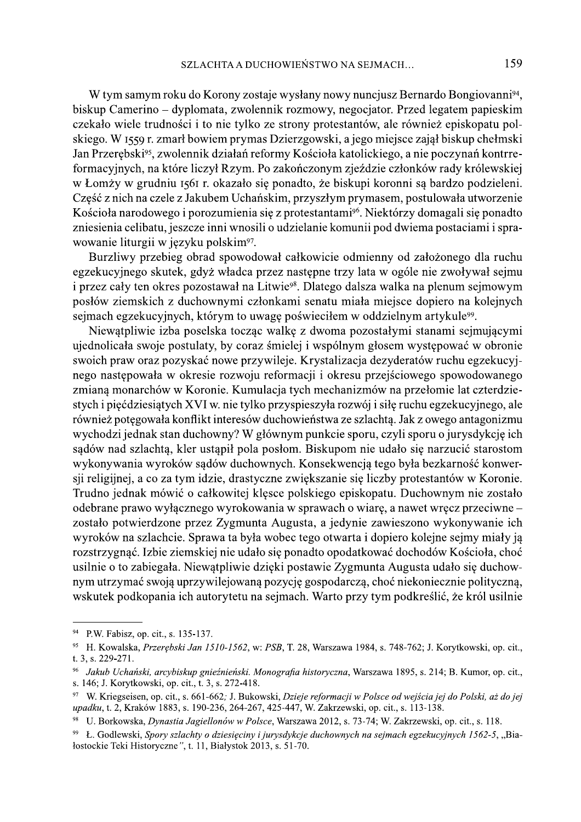W tym samym roku do Korony zostaje wysłany nowy nuncjusz Bernardo Bongiovanni<sup>94</sup>, biskup Camerino - dyplomata, zwolennik rozmowy, negocjator. Przed legatem papieskim czekało wiele trudności i to nie tylko ze strony protestantów, ale również episkopatu polskiego. W 1559 r. zmarł bowiem prymas Dzierzgowski, a jego miejsce zajął biskup chełmski Jan Przerębski<sup>95</sup>, zwolennik działań reformy Kościoła katolickiego, a nie poczynań kontrreformacyjnych, na które liczył Rzym. Po zakończonym zjeździe członków rady królewskiej w Łomży w grudniu 1561 r. okazało się ponadto, że biskupi koronni są bardzo podzieleni. Część z nich na czele z Jakubem Uchańskim, przyszłym prymasem, postulowała utworzenie Kościoła narodowego i porozumienia się z protestantami<sup>96</sup>. Niektórzy domagali się ponadto zniesienia celibatu, jeszcze inni wnosili o udzielanie komunii pod dwiema postaciami i sprawowanie liturgii w języku polskim<sup>97</sup>.

Burzliwy przebieg obrad spowodował całkowicie odmienny od założonego dla ruchu egzekucyjnego skutek, gdyż władca przez następne trzy lata w ogóle nie zwoływał sejmu i przez cały ten okres pozostawał na Litwie<sup>98</sup>. Dlatego dalsza walka na plenum sejmowym posłów ziemskich z duchownymi członkami senatu miała miejsce dopiero na kolejnych sejmach egzekucyjnych, którym to uwagę poświeciłem w oddzielnym artykule<sup>99</sup>.

Niewątpliwie izba poselska tocząc walkę z dwoma pozostałymi stanami sejmującymi ujednolicała swoje postulaty, by coraz śmielej i wspólnym głosem występować w obronie swoich praw oraz pozyskać nowe przywileje. Krystalizacja dezyderatów ruchu egzekucyjnego następowała w okresie rozwoju reformacji i okresu przejściowego spowodowanego zmiana monarchów w Koronie. Kumulacja tych mechanizmów na przełomie lat czterdziestych i pięćdziesiątych XVI w. nie tylko przyspieszyła rozwój i siłę ruchu egzekucyjnego, ale również potęgowała konflikt interesów duchowieństwa ze szlachtą. Jak z owego antagonizmu wychodzi jednak stan duchowny? W głównym punkcie sporu, czyli sporu o jurysdykcję ich sądów nad szlachtą, kler ustąpił pola posłom. Biskupom nie udało się narzucić starostom wykonywania wyroków sądów duchownych. Konsekwencją tego była bezkarność konwersii religijnej, a co za tym idzie, drastyczne zwiększanie się liczby protestantów w Koronie. Trudno jednak mówić o całkowitej klęsce polskiego episkopatu. Duchownym nie zostało odebrane prawo wyłącznego wyrokowania w sprawach o wiare, a nawet wrecz przeciwne – zostało potwierdzone przez Zygmunta Augusta, a jedynie zawieszono wykonywanie ich wyroków na szlachcie. Sprawa ta była wobec tego otwarta i dopiero kolejne sejmy miały ją rozstrzygnąć. Izbie ziemskiej nie udało się ponadto opodatkować dochodów Kościoła, choć usilnie o to zabiegała. Niewątpliwie dzięki postawie Zygmunta Augusta udało się duchownym utrzymać swoją uprzywilejowaną pozycję gospodarczą, choć niekoniecznie polityczną, wskutek podkopania ich autorytetu na sejmach. Warto przy tym podkreślić, że król usilnie

<sup>&</sup>lt;sup>94</sup> P.W. Fabisz, op. cit., s. 135-137.

<sup>&</sup>lt;sup>95</sup> H. Kowalska, *Przerebski Jan 1510-1562*, w: PSB, T. 28, Warszawa 1984, s. 748-762; J. Korytkowski, op. cit., t. 3, s. 229-271.

<sup>96</sup> Jakub Uchański, arcybiskup gnieźnieński. Monografia historyczna, Warszawa 1895, s. 214; B. Kumor, op. cit., s. 146; J. Korytkowski, op. cit., t. 3, s. 272-418.

<sup>97</sup> W. Kriegseisen, op. cit., s. 661-662; J. Bukowski, Dzieje reformacji w Polsce od wejścia jej do Polski, aż do jej upadku, t. 2, Kraków 1883, s. 190-236, 264-267, 425-447, W. Zakrzewski, op. cit., s. 113-138.

<sup>98</sup> U. Borkowska, Dynastia Jagiellonów w Polsce, Warszawa 2012, s. 73-74; W. Zakrzewski, op. cit., s. 118.

Ł. Godlewski, Sporv szlachtv o dziesieciny i jurysdykcje duchownych na sejmach egzekucyjnych 1562-5, "Bia-99 łostockie Teki Historyczne", t. 11, Białystok 2013, s. 51-70.